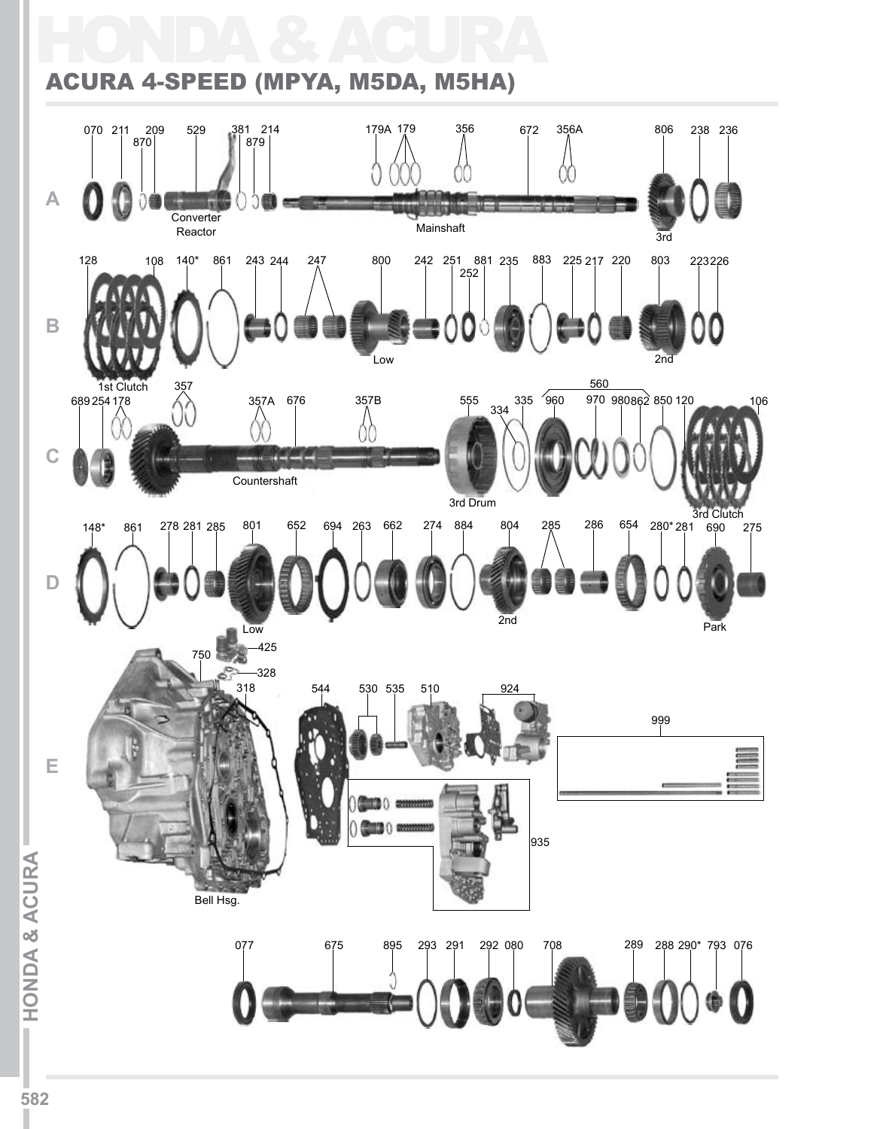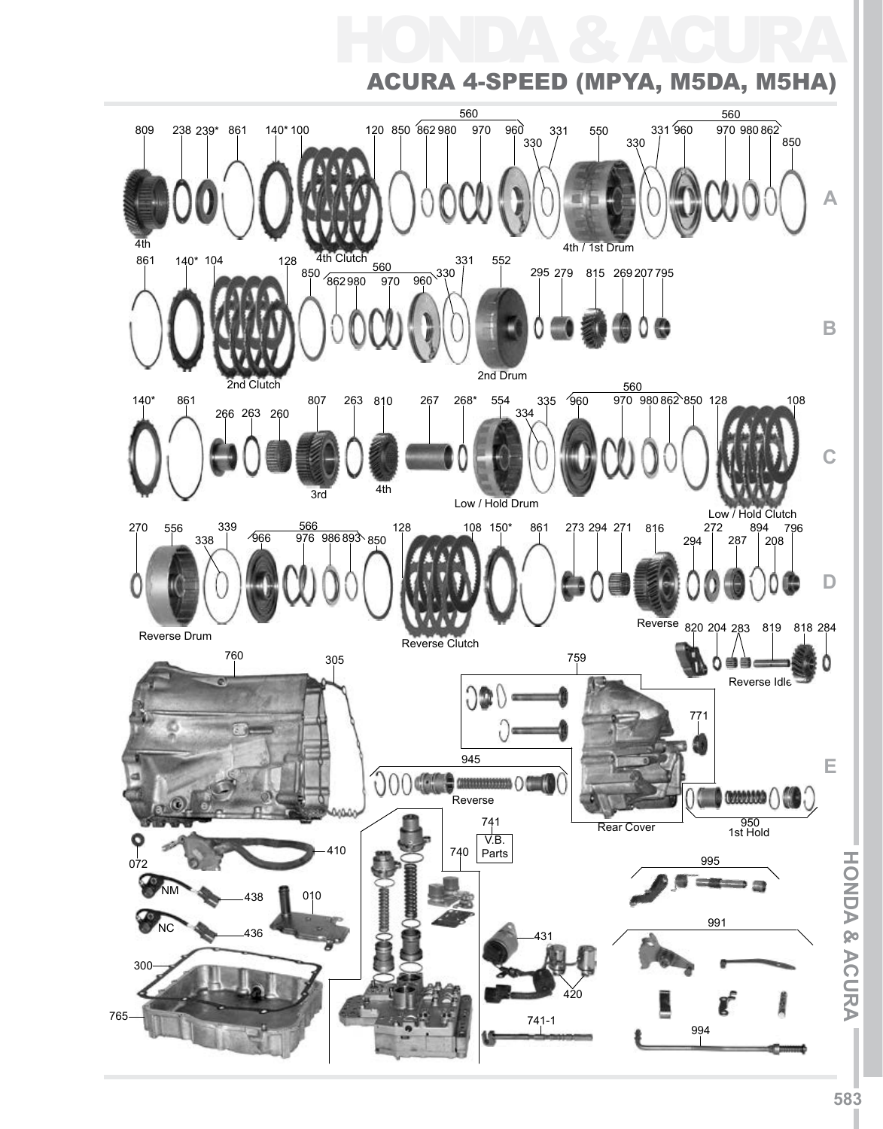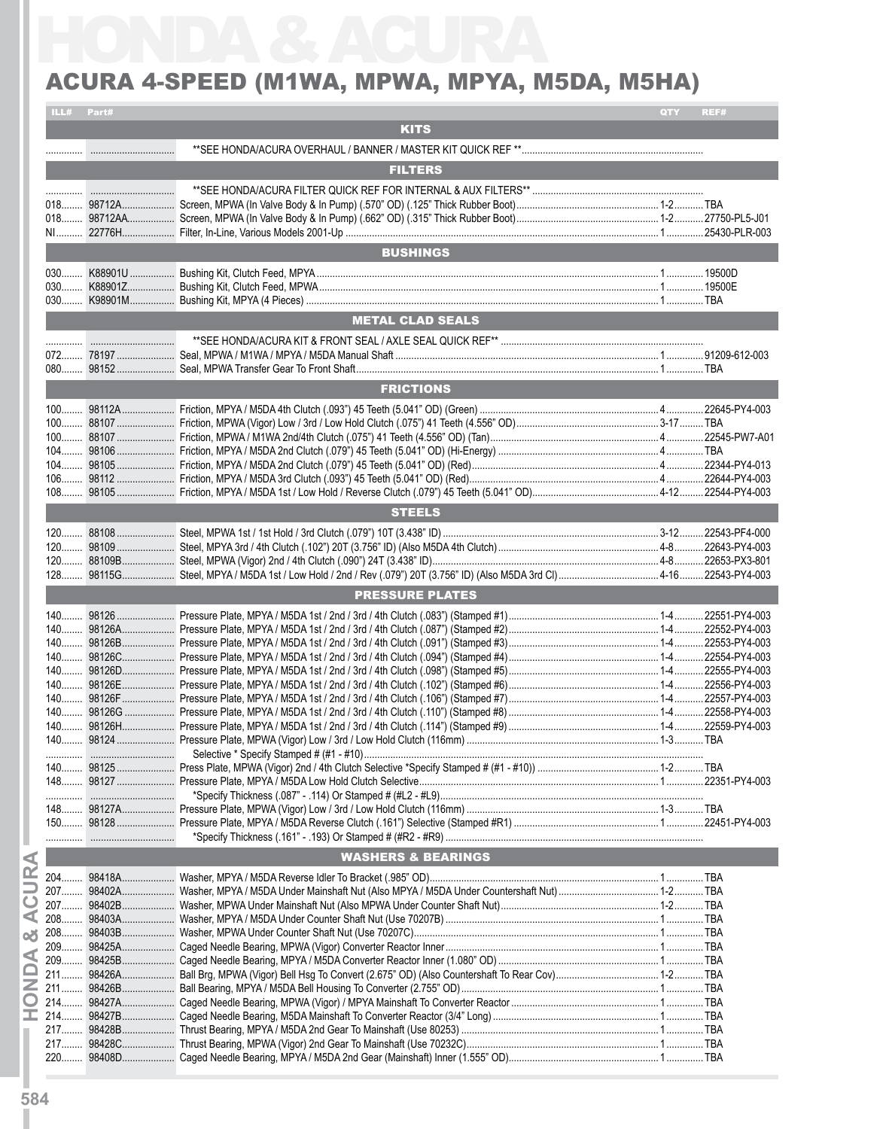|     | ILL# Part# |                               | QTY | REF#           |
|-----|------------|-------------------------------|-----|----------------|
|     |            | <b>KITS</b>                   |     |                |
|     |            |                               |     |                |
|     |            | <b>FILTERS</b>                |     |                |
|     |            |                               |     |                |
|     |            |                               |     |                |
|     |            |                               |     |                |
|     |            |                               |     |                |
|     |            | <b>BUSHINGS</b>               |     |                |
|     |            |                               |     |                |
|     |            |                               |     |                |
|     |            | <b>METAL CLAD SEALS</b>       |     |                |
|     |            |                               |     |                |
|     |            |                               |     |                |
|     |            |                               |     |                |
|     |            | <b>FRICTIONS</b>              |     |                |
|     |            |                               |     |                |
|     |            |                               |     |                |
|     |            |                               |     |                |
|     |            |                               |     |                |
|     |            |                               |     |                |
|     |            |                               |     |                |
|     |            |                               |     |                |
|     |            | <b>STEELS</b>                 |     |                |
|     |            |                               |     |                |
|     |            |                               |     |                |
|     |            |                               |     |                |
|     |            | <b>PRESSURE PLATES</b>        |     |                |
|     |            |                               |     |                |
|     |            |                               |     |                |
|     |            |                               |     |                |
| 140 | 98126C     |                               |     | .22554-PY4-003 |
|     |            |                               |     |                |
|     |            |                               |     |                |
|     |            |                               |     |                |
|     |            |                               |     |                |
|     |            |                               |     |                |
|     |            |                               |     |                |
|     |            |                               |     |                |
|     |            |                               |     |                |
|     |            |                               |     |                |
|     |            |                               |     |                |
|     |            |                               |     |                |
|     |            | <b>WASHERS &amp; BEARINGS</b> |     |                |
|     |            |                               |     |                |
|     |            |                               |     |                |
|     |            |                               |     |                |
|     |            |                               |     |                |
|     |            |                               |     |                |
|     |            |                               |     |                |
|     |            |                               |     |                |
|     |            |                               |     |                |
|     |            |                               |     |                |
|     |            |                               |     |                |
|     |            |                               |     |                |
|     |            |                               |     |                |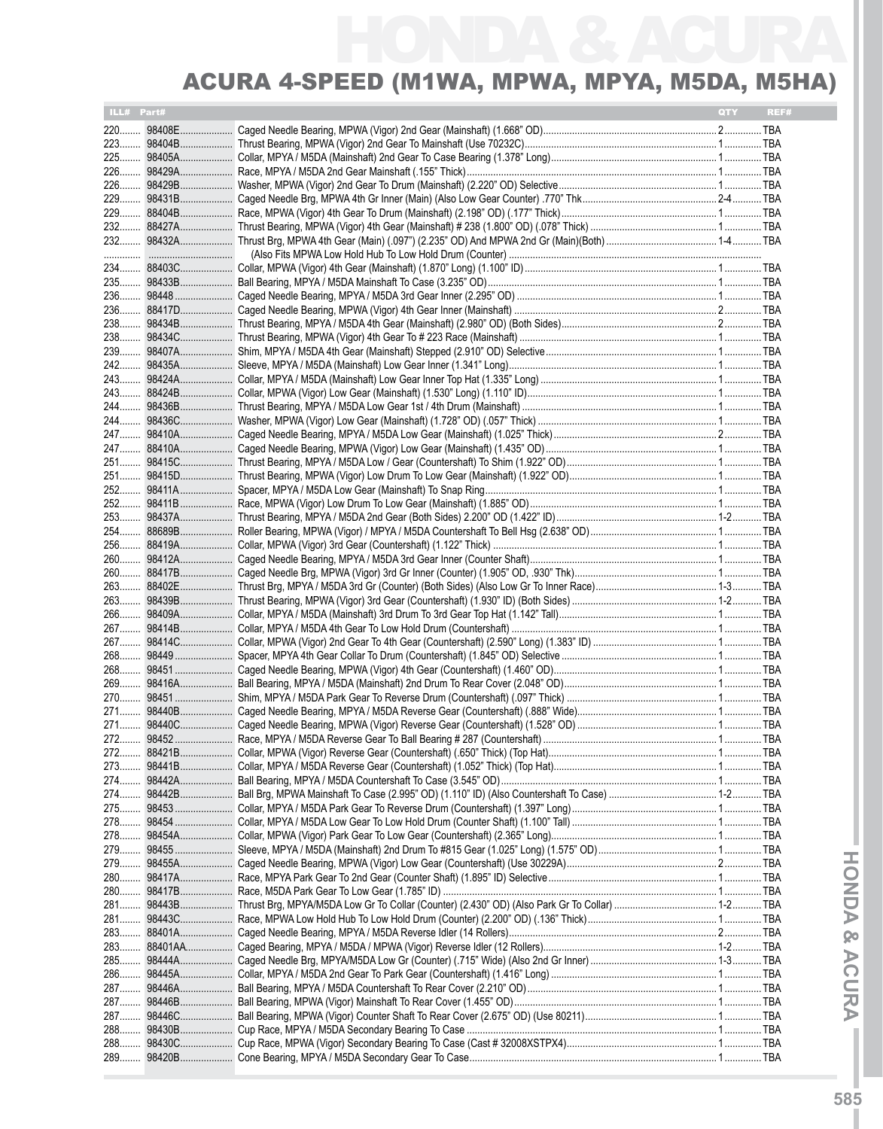# HONDA & ACURA Acura 4-Speed (M1WA, MPWA, MPYA, M5DA, M5HA)

| ILL# Part# |             | QTY | REF# |
|------------|-------------|-----|------|
|            | 220 98408E  |     |      |
|            |             |     |      |
|            |             |     |      |
|            |             |     |      |
|            |             |     |      |
|            |             |     |      |
| 229        |             |     |      |
|            |             |     |      |
|            |             |     |      |
|            |             |     |      |
|            |             |     |      |
| 235        |             |     |      |
|            |             |     |      |
|            |             |     |      |
|            |             |     |      |
|            |             |     |      |
| 239        |             |     |      |
| 242        |             |     |      |
|            |             |     |      |
|            |             |     |      |
|            |             |     |      |
| $244$      |             |     |      |
|            |             |     |      |
|            |             |     |      |
|            |             |     |      |
|            |             |     |      |
| 252        |             |     |      |
|            |             |     |      |
|            |             |     |      |
| 254………     |             |     |      |
| 260        |             |     |      |
|            |             |     |      |
|            |             |     |      |
|            |             |     |      |
|            |             |     |      |
| 267        |             |     |      |
|            |             |     |      |
|            |             |     |      |
|            |             |     |      |
|            |             |     |      |
|            |             |     |      |
|            |             |     |      |
|            |             |     |      |
|            |             |     |      |
|            | 272 88421B  |     |      |
|            |             |     |      |
|            |             |     |      |
|            |             |     |      |
|            |             |     |      |
|            |             |     |      |
| 278        |             |     |      |
| 279        |             |     |      |
|            |             |     |      |
|            |             |     |      |
|            |             |     |      |
| 281        |             |     |      |
|            |             |     |      |
|            | 283 88401A  |     |      |
|            | 283 88401AA |     |      |
|            |             |     |      |
| 286        |             |     |      |
| 287        |             |     |      |
| 287        |             |     |      |
| 287        | 98446C      |     |      |
| 288        |             |     |      |
| 288        |             |     |      |
| 289        |             |     |      |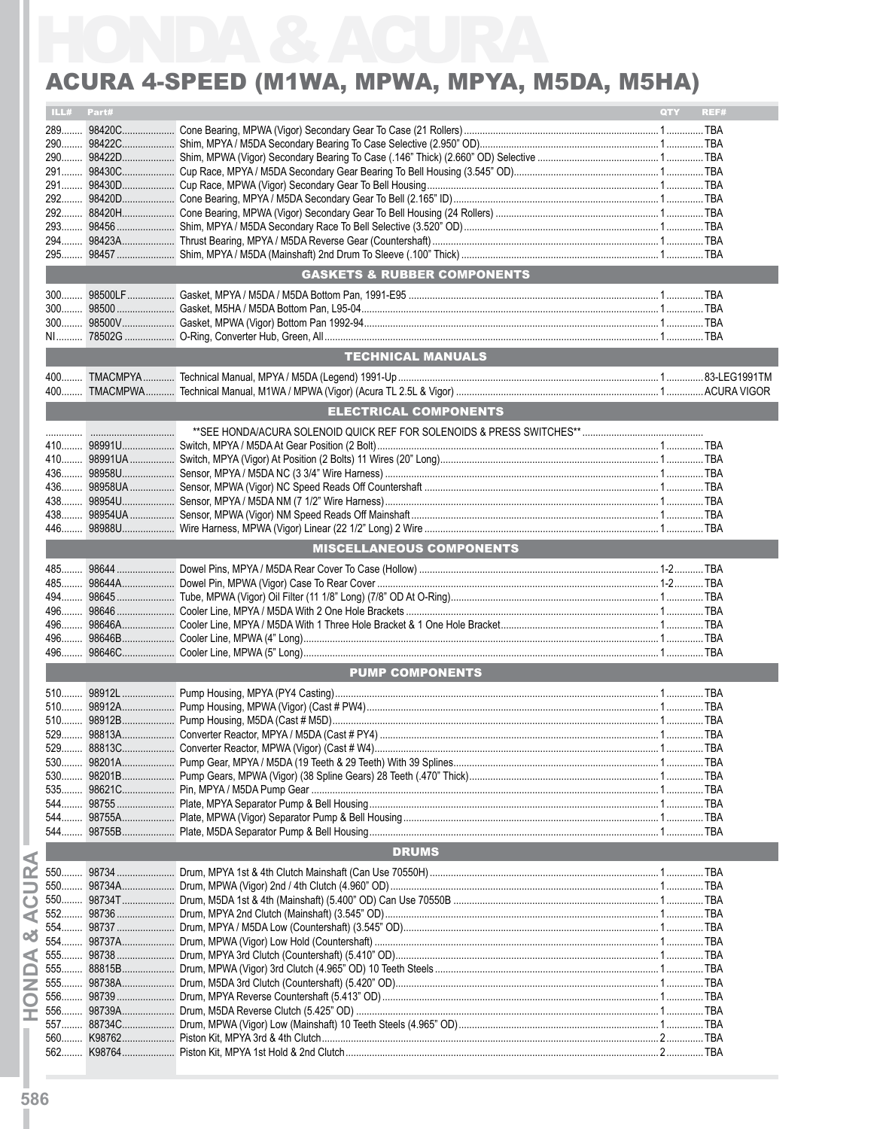| ILL#   | Part# |                                        | QTY | REF# |
|--------|-------|----------------------------------------|-----|------|
| 289    |       |                                        |     |      |
|        |       |                                        |     |      |
|        |       |                                        |     |      |
| $291$  |       |                                        |     |      |
| 291    |       |                                        |     |      |
| $292$  |       |                                        |     |      |
| 292    |       |                                        |     |      |
| 293    |       |                                        |     |      |
| $294$  |       |                                        |     |      |
| $295$  |       |                                        |     |      |
|        |       | <b>GASKETS &amp; RUBBER COMPONENTS</b> |     |      |
| $300$  |       |                                        |     |      |
| $300$  |       |                                        |     |      |
| $300$  |       |                                        |     |      |
|        |       |                                        |     |      |
|        |       | <b>TECHNICAL MANUALS</b>               |     |      |
| $400$  |       |                                        |     |      |
| $400$  |       |                                        |     |      |
|        |       | <b>ELECTRICAL COMPONENTS</b>           |     |      |
|        |       |                                        |     |      |
|        |       |                                        |     |      |
|        |       |                                        |     |      |
|        |       |                                        |     |      |
|        |       |                                        |     |      |
| 438    |       |                                        |     |      |
| 438    |       |                                        |     |      |
|        |       |                                        |     |      |
|        |       | <b>MISCELLANEOUS COMPONENTS</b>        |     |      |
| 485    |       |                                        |     |      |
| 485    |       |                                        |     |      |
| $494$  |       |                                        |     |      |
| $496$  |       |                                        |     |      |
| $496$  |       |                                        |     |      |
| $496$  |       |                                        |     |      |
| $496$  |       |                                        |     |      |
|        |       | <b>PUMP COMPONENTS</b>                 |     |      |
|        |       |                                        |     |      |
| $510$  |       |                                        |     |      |
|        |       |                                        |     |      |
| 529    |       |                                        |     |      |
|        |       |                                        |     |      |
|        |       |                                        |     |      |
|        |       |                                        |     |      |
| $544$  |       |                                        |     |      |
| 544……… |       |                                        |     |      |
| 544……… |       |                                        |     |      |
|        |       | <b>DRUMS</b>                           |     |      |
|        |       |                                        |     |      |
|        |       |                                        |     |      |
|        |       |                                        |     |      |
|        |       |                                        |     |      |
|        |       |                                        |     |      |
|        |       |                                        |     |      |
| 555    |       |                                        |     |      |
| 555    |       |                                        |     |      |
| 555    |       |                                        |     |      |
| 556    |       |                                        |     |      |
| 556    |       |                                        |     |      |
| 557    |       |                                        |     |      |
| 560    |       |                                        |     |      |
|        |       |                                        |     |      |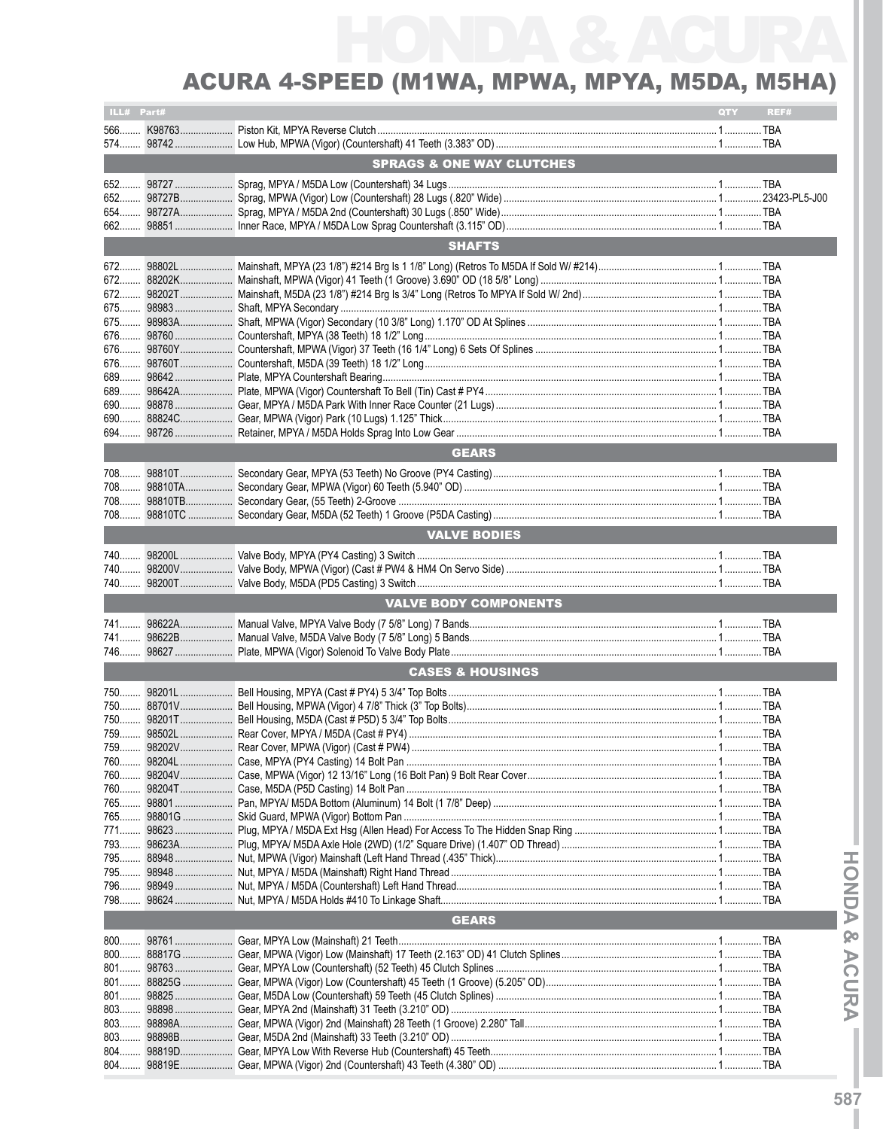| ILL# Part# |                                      | QTY | REF# |
|------------|--------------------------------------|-----|------|
|            |                                      |     |      |
|            |                                      |     |      |
|            |                                      |     |      |
|            | <b>SPRAGS &amp; ONE WAY CLUTCHES</b> |     |      |
|            |                                      |     |      |
|            |                                      |     |      |
|            |                                      |     |      |
| 662        |                                      |     |      |
|            | <b>SHAFTS</b>                        |     |      |
|            |                                      |     |      |
|            |                                      |     |      |
|            |                                      |     |      |
|            |                                      |     |      |
| 675        |                                      |     |      |
|            |                                      |     |      |
|            |                                      |     |      |
|            |                                      |     |      |
|            |                                      |     |      |
|            |                                      |     |      |
|            |                                      |     |      |
|            |                                      |     |      |
|            |                                      |     |      |
|            |                                      |     |      |
|            | <b>GEARS</b>                         |     |      |
| 708        |                                      |     |      |
| 708        |                                      |     |      |
|            |                                      |     |      |
|            |                                      |     |      |
|            | <b>VALVE BODIES</b>                  |     |      |
|            |                                      |     |      |
| 740        |                                      |     |      |
|            |                                      |     |      |
|            |                                      |     |      |
|            | <b>VALVE BODY COMPONENTS</b>         |     |      |
|            |                                      |     |      |
|            |                                      |     |      |
| 746        |                                      |     |      |
|            |                                      |     |      |
|            | <b>CASES &amp; HOUSINGS</b>          |     |      |
|            |                                      |     |      |
|            |                                      |     |      |
|            |                                      |     |      |
|            |                                      |     |      |
| 759        |                                      |     |      |
|            |                                      |     |      |
|            |                                      |     |      |
| 760        |                                      |     |      |
|            |                                      |     |      |
|            |                                      |     |      |
|            |                                      |     |      |
| 793        |                                      |     |      |
| 795        |                                      |     |      |
|            |                                      |     |      |
|            |                                      |     |      |
|            |                                      |     |      |
|            | <b>GEARS</b>                         |     |      |
|            |                                      |     |      |
|            |                                      |     |      |
|            |                                      |     |      |
|            |                                      |     |      |
|            |                                      |     |      |
| 803        |                                      |     |      |
| $803$      |                                      |     |      |
|            |                                      |     |      |
| 804        |                                      |     |      |
| 804        |                                      |     |      |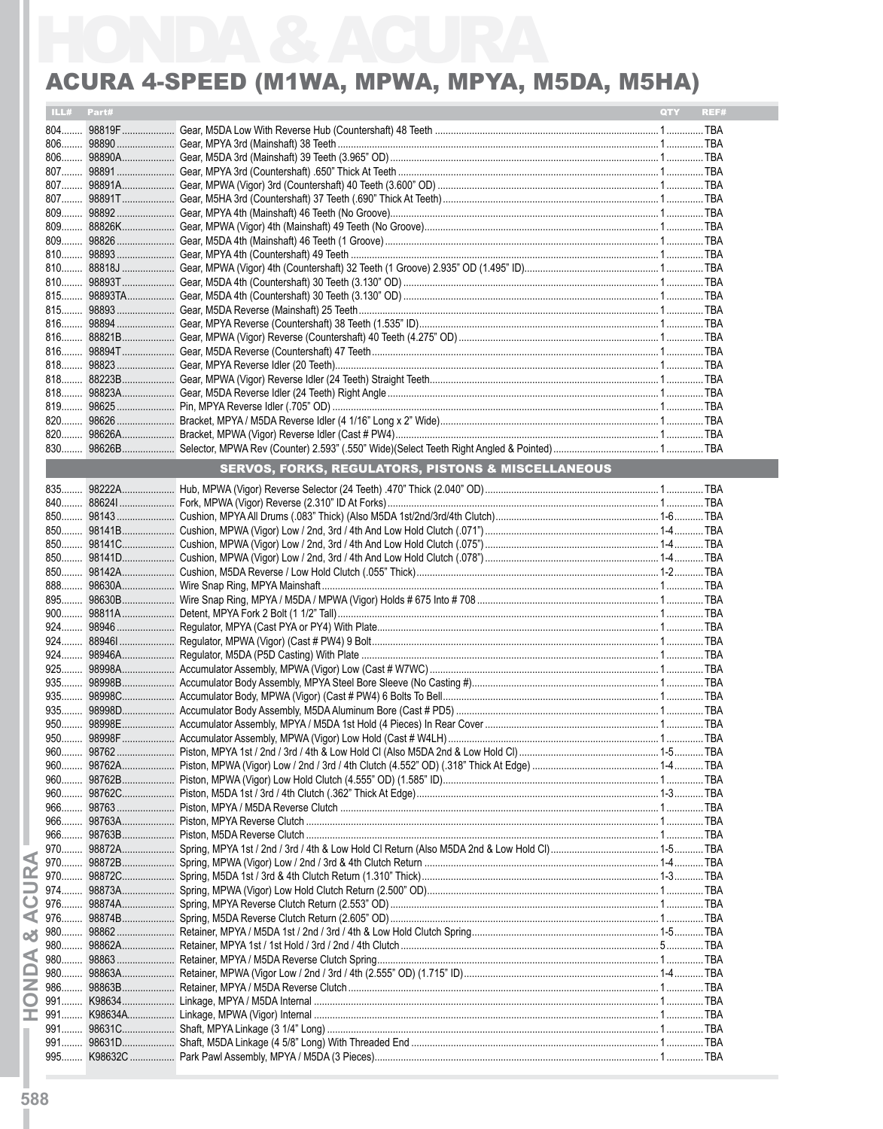|       | ILL# Part# |                                                               | QTY REF# |  |
|-------|------------|---------------------------------------------------------------|----------|--|
|       |            |                                                               |          |  |
|       |            |                                                               |          |  |
|       |            |                                                               |          |  |
|       |            |                                                               |          |  |
|       |            |                                                               |          |  |
|       |            |                                                               |          |  |
|       |            |                                                               |          |  |
|       |            |                                                               |          |  |
|       |            |                                                               |          |  |
|       |            |                                                               |          |  |
|       |            |                                                               |          |  |
|       |            |                                                               |          |  |
|       |            |                                                               |          |  |
|       |            |                                                               |          |  |
|       |            |                                                               |          |  |
|       |            |                                                               |          |  |
|       |            |                                                               |          |  |
|       |            |                                                               |          |  |
|       |            |                                                               |          |  |
|       |            |                                                               |          |  |
|       |            |                                                               |          |  |
|       |            |                                                               |          |  |
|       |            |                                                               |          |  |
|       |            |                                                               |          |  |
|       |            | <b>SERVOS, FORKS, REGULATORS, PISTONS &amp; MISCELLANEOUS</b> |          |  |
|       |            |                                                               |          |  |
|       |            |                                                               |          |  |
|       |            |                                                               |          |  |
|       |            |                                                               |          |  |
|       |            |                                                               |          |  |
|       |            |                                                               |          |  |
|       |            |                                                               |          |  |
|       |            |                                                               |          |  |
|       |            |                                                               |          |  |
|       |            |                                                               |          |  |
|       |            |                                                               |          |  |
|       |            |                                                               |          |  |
|       |            |                                                               |          |  |
|       |            |                                                               |          |  |
|       |            |                                                               |          |  |
|       |            |                                                               |          |  |
|       |            |                                                               |          |  |
|       |            |                                                               |          |  |
|       |            |                                                               |          |  |
|       |            |                                                               |          |  |
|       |            |                                                               |          |  |
|       |            |                                                               |          |  |
| 960   |            |                                                               |          |  |
|       |            |                                                               |          |  |
|       |            |                                                               |          |  |
| $966$ |            |                                                               |          |  |
| $966$ |            |                                                               |          |  |
| 970   |            |                                                               |          |  |
| 970   |            |                                                               |          |  |
| 970   |            |                                                               |          |  |
| $974$ |            |                                                               |          |  |
| 976   |            |                                                               |          |  |
| 976   |            |                                                               |          |  |
| $980$ |            |                                                               |          |  |
| 980   |            |                                                               |          |  |
| 980   |            |                                                               |          |  |
| 980   |            |                                                               |          |  |
| 986   |            |                                                               |          |  |
| 991   |            |                                                               |          |  |
| 991   |            |                                                               |          |  |
| $991$ |            |                                                               |          |  |
| 991   |            |                                                               |          |  |
| 995.  |            |                                                               |          |  |